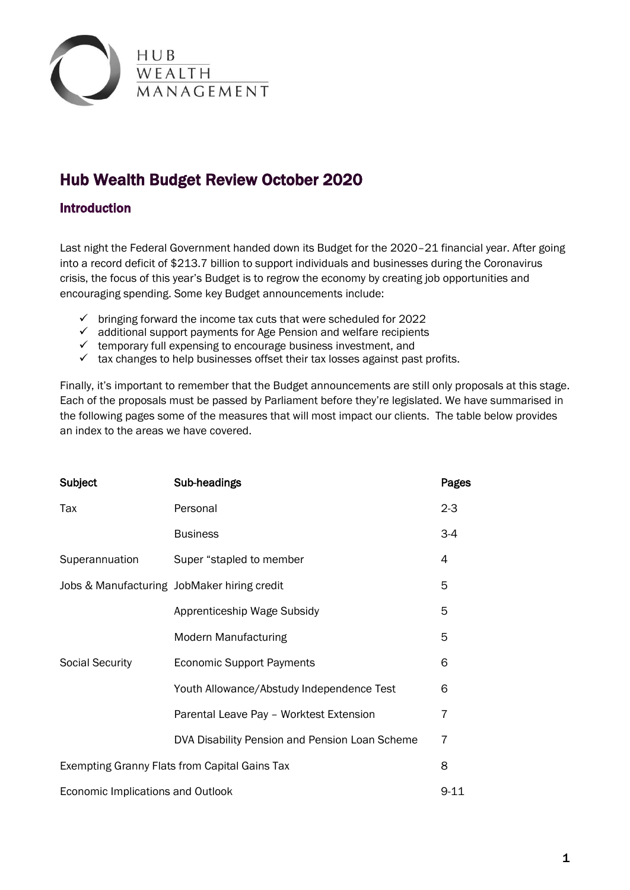

# Hub Wealth Budget Review October 2020

## Introduction

Last night the Federal Government handed down its Budget for the 2020–21 financial year. After going into a record deficit of \$213.7 billion to support individuals and businesses during the Coronavirus crisis, the focus of this year's Budget is to regrow the economy by creating job opportunities and encouraging spending. Some key Budget announcements include:

- $\checkmark$  bringing forward the income tax cuts that were scheduled for 2022
- $\checkmark$  additional support payments for Age Pension and welfare recipients
- $\checkmark$  temporary full expensing to encourage business investment, and
- $\checkmark$  tax changes to help businesses offset their tax losses against past profits.

Finally, it's important to remember that the Budget announcements are still only proposals at this stage. Each of the proposals must be passed by Parliament before they're legislated. We have summarised in the following pages some of the measures that will most impact our clients. The table below provides an index to the areas we have covered.

| <b>Subject</b>                                | Sub-headings                                   | Pages   |  |  |
|-----------------------------------------------|------------------------------------------------|---------|--|--|
| Tax                                           | Personal                                       | $2 - 3$ |  |  |
|                                               | <b>Business</b>                                | $3-4$   |  |  |
| Superannuation                                | Super "stapled to member                       | 4       |  |  |
|                                               | Jobs & Manufacturing JobMaker hiring credit    | 5       |  |  |
|                                               | Apprenticeship Wage Subsidy                    | 5       |  |  |
|                                               | <b>Modern Manufacturing</b>                    | 5       |  |  |
| <b>Social Security</b>                        | <b>Economic Support Payments</b>               | 6       |  |  |
|                                               | Youth Allowance/Abstudy Independence Test      | 6       |  |  |
|                                               | Parental Leave Pay - Worktest Extension        | 7       |  |  |
|                                               | DVA Disability Pension and Pension Loan Scheme | 7       |  |  |
| Exempting Granny Flats from Capital Gains Tax |                                                |         |  |  |
| Economic Implications and Outlook<br>$9 - 11$ |                                                |         |  |  |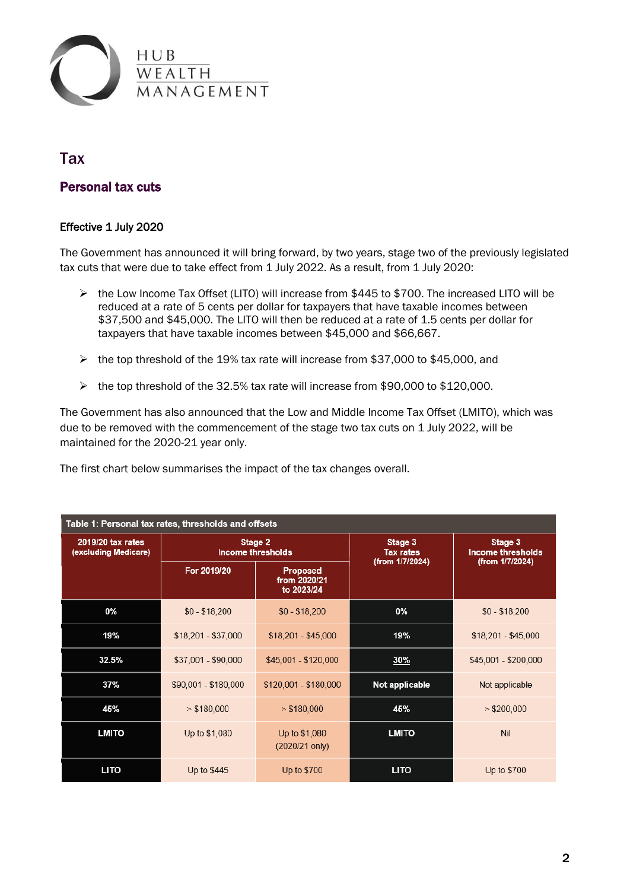

## **Tax**

## Personal tax cuts

#### Effective 1 July 2020

The Government has announced it will bring forward, by two years, stage two of the previously legislated tax cuts that were due to take effect from 1 July 2022. As a result, from 1 July 2020:

- $\triangleright$  the Low Income Tax Offset (LITO) will increase from \$445 to \$700. The increased LITO will be reduced at a rate of 5 cents per dollar for taxpayers that have taxable incomes between \$37,500 and \$45,000. The LITO will then be reduced at a rate of 1.5 cents per dollar for taxpayers that have taxable incomes between \$45,000 and \$66,667.
- the top threshold of the 19% tax rate will increase from \$37,000 to \$45,000, and
- $\triangleright$  the top threshold of the 32.5% tax rate will increase from \$90,000 to \$120,000.

The Government has also announced that the Low and Middle Income Tax Offset (LMITO), which was due to be removed with the commencement of the stage two tax cuts on 1 July 2022, will be maintained for the 2020-21 year only.

The first chart below summarises the impact of the tax changes overall.

| Table 1: Personal tax rates, thresholds and offsets |                                     |                                               |                             |                                     |  |  |  |
|-----------------------------------------------------|-------------------------------------|-----------------------------------------------|-----------------------------|-------------------------------------|--|--|--|
| 2019/20 tax rates<br>(excluding Medicare)           | Stage 2<br><b>Income thresholds</b> |                                               | Stage 3<br><b>Tax rates</b> | Stage 3<br><b>Income thresholds</b> |  |  |  |
|                                                     | For 2019/20                         | <b>Proposed</b><br>from 2020/21<br>to 2023/24 | (from 1/7/2024)             | (from 1/7/2024)                     |  |  |  |
| 0%                                                  | $$0 - $18,200$                      | $$0 - $18,200$                                | 0%                          | $$0 - $18,200$                      |  |  |  |
| 19%                                                 | $$18,201 - $37,000$                 | $$18,201 - $45,000$                           | 19%                         | \$18,201 - \$45,000                 |  |  |  |
| 32.5%                                               | \$37,001 - \$90,000                 | \$45,001 - \$120,000                          | <b>30%</b>                  | \$45,001 - \$200,000                |  |  |  |
| 37%                                                 | \$90,001 - \$180,000                | \$120,001 - \$180,000                         | Not applicable              | Not applicable                      |  |  |  |
| 45%                                                 | > \$180,000                         | > \$180,000                                   | 45%                         | > \$200,000                         |  |  |  |
| <b>LMITO</b>                                        | Up to \$1,080                       | Up to \$1,080<br>(2020/21 only)               | <b>LMITO</b>                | Nil                                 |  |  |  |
| <b>LITO</b>                                         | Up to \$445                         | Up to \$700                                   | <b>LITO</b>                 | Up to \$700                         |  |  |  |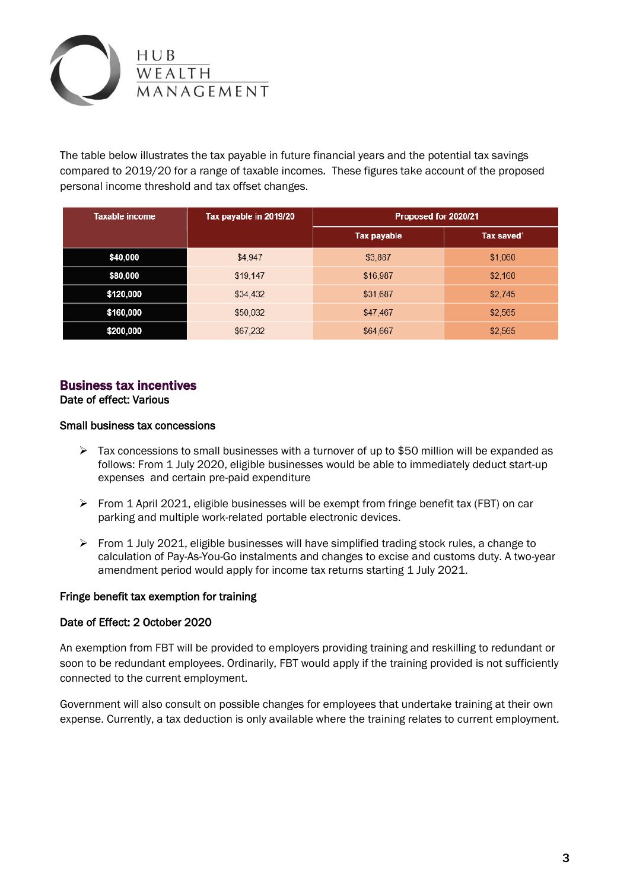

The table below illustrates the tax payable in future financial years and the potential tax savings compared to 2019/20 for a range of taxable incomes. These figures take account of the proposed personal income threshold and tax offset changes.

| <b>Taxable income</b> | Tax payable in 2019/20 | Proposed for 2020/21 |                        |
|-----------------------|------------------------|----------------------|------------------------|
|                       |                        | Tax payable          | Tax saved <sup>1</sup> |
| \$40,000              | \$4,947                | \$3,887              | \$1,060                |
| \$80,000              | \$19,147               | \$16,987             | \$2,160                |
| \$120,000             | \$34,432               | \$31,687             | \$2,745                |
| \$160,000             | \$50,032               | \$47,467             | \$2,565                |
| \$200,000             | \$67,232               | \$64,667             | \$2,565                |

## Business tax incentives

Date of effect: Various

#### Small business tax concessions

- $\triangleright$  Tax concessions to small businesses with a turnover of up to \$50 million will be expanded as follows: From 1 July 2020, eligible businesses would be able to immediately deduct start-up expenses and certain pre-paid expenditure
- $\triangleright$  From 1 April 2021, eligible businesses will be exempt from fringe benefit tax (FBT) on car parking and multiple work-related portable electronic devices.
- $\triangleright$  From 1 July 2021, eligible businesses will have simplified trading stock rules, a change to calculation of Pay-As-You-Go instalments and changes to excise and customs duty. A two-year amendment period would apply for income tax returns starting 1 July 2021.

#### Fringe benefit tax exemption for training

#### Date of Effect: 2 October 2020

An exemption from FBT will be provided to employers providing training and reskilling to redundant or soon to be redundant employees. Ordinarily, FBT would apply if the training provided is not sufficiently connected to the current employment.

Government will also consult on possible changes for employees that undertake training at their own expense. Currently, a tax deduction is only available where the training relates to current employment.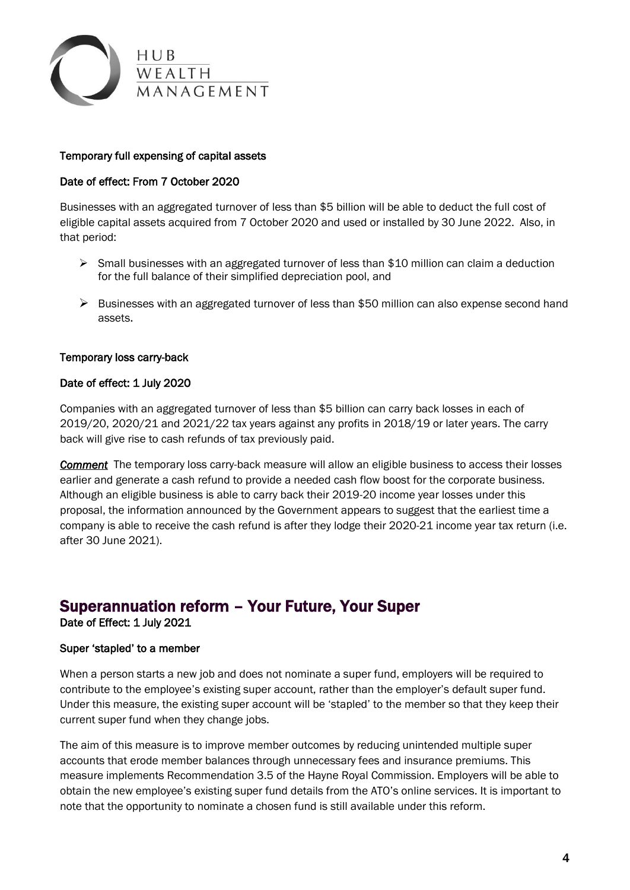

#### Temporary full expensing of capital assets

#### Date of effect: From 7 October 2020

Businesses with an aggregated turnover of less than \$5 billion will be able to deduct the full cost of eligible capital assets acquired from 7 October 2020 and used or installed by 30 June 2022. Also, in that period:

- $\triangleright$  Small businesses with an aggregated turnover of less than \$10 million can claim a deduction for the full balance of their simplified depreciation pool, and
- $\triangleright$  Businesses with an aggregated turnover of less than \$50 million can also expense second hand assets.

#### Temporary loss carry-back

#### Date of effect: 1 July 2020

Companies with an aggregated turnover of less than \$5 billion can carry back losses in each of 2019/20, 2020/21 and 2021/22 tax years against any profits in 2018/19 or later years. The carry back will give rise to cash refunds of tax previously paid.

*Comment* The temporary loss carry-back measure will allow an eligible business to access their losses earlier and generate a cash refund to provide a needed cash flow boost for the corporate business. Although an eligible business is able to carry back their 2019-20 income year losses under this proposal, the information announced by the Government appears to suggest that the earliest time a company is able to receive the cash refund is after they lodge their 2020-21 income year tax return (i.e. after 30 June 2021).

## Superannuation reform – Your Future, Your Super

Date of Effect: 1 July 2021

#### Super 'stapled' to a member

When a person starts a new job and does not nominate a super fund, employers will be required to contribute to the employee's existing super account, rather than the employer's default super fund. Under this measure, the existing super account will be 'stapled' to the member so that they keep their current super fund when they change jobs.

The aim of this measure is to improve member outcomes by reducing unintended multiple super accounts that erode member balances through unnecessary fees and insurance premiums. This measure implements Recommendation 3.5 of the Hayne Royal Commission. Employers will be able to obtain the new employee's existing super fund details from the ATO's online services. It is important to note that the opportunity to nominate a chosen fund is still available under this reform.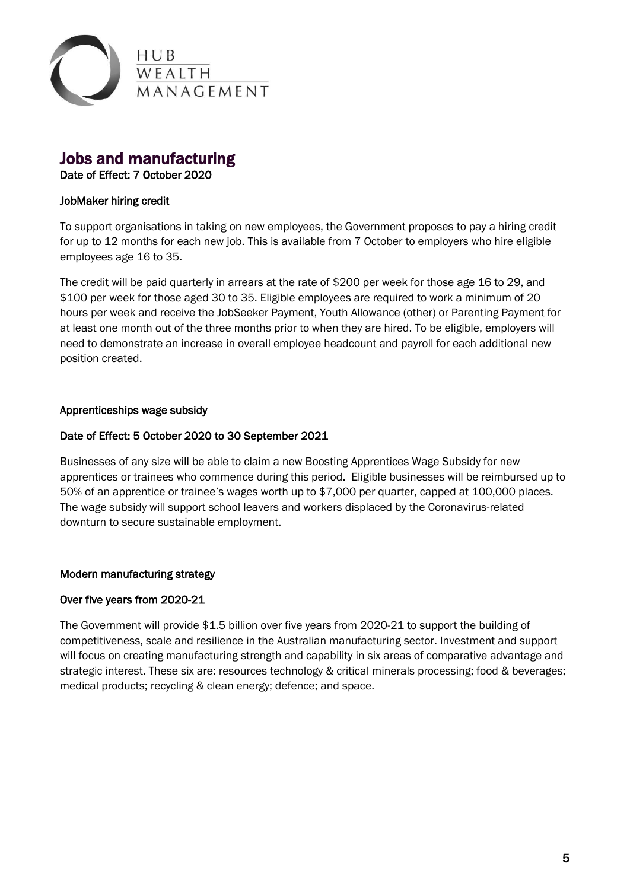

## Jobs and manufacturing

#### Date of Effect: 7 October 2020

## JobMaker hiring credit

To support organisations in taking on new employees, the Government proposes to pay a hiring credit for up to 12 months for each new job. This is available from 7 October to employers who hire eligible employees age 16 to 35.

The credit will be paid quarterly in arrears at the rate of \$200 per week for those age 16 to 29, and \$100 per week for those aged 30 to 35. Eligible employees are required to work a minimum of 20 hours per week and receive the JobSeeker Payment, Youth Allowance (other) or Parenting Payment for at least one month out of the three months prior to when they are hired. To be eligible, employers will need to demonstrate an increase in overall employee headcount and payroll for each additional new position created.

## Apprenticeships wage subsidy

## Date of Effect: 5 October 2020 to 30 September 2021

Businesses of any size will be able to claim a new Boosting Apprentices Wage Subsidy for new apprentices or trainees who commence during this period. Eligible businesses will be reimbursed up to 50% of an apprentice or trainee's wages worth up to \$7,000 per quarter, capped at 100,000 places. The wage subsidy will support school leavers and workers displaced by the Coronavirus-related downturn to secure sustainable employment.

## Modern manufacturing strategy

#### Over five years from 2020-21

The Government will provide \$1.5 billion over five years from 2020-21 to support the building of competitiveness, scale and resilience in the Australian manufacturing sector. Investment and support will focus on creating manufacturing strength and capability in six areas of comparative advantage and strategic interest. These six are: resources technology & critical minerals processing; food & beverages; medical products; recycling & clean energy; defence; and space.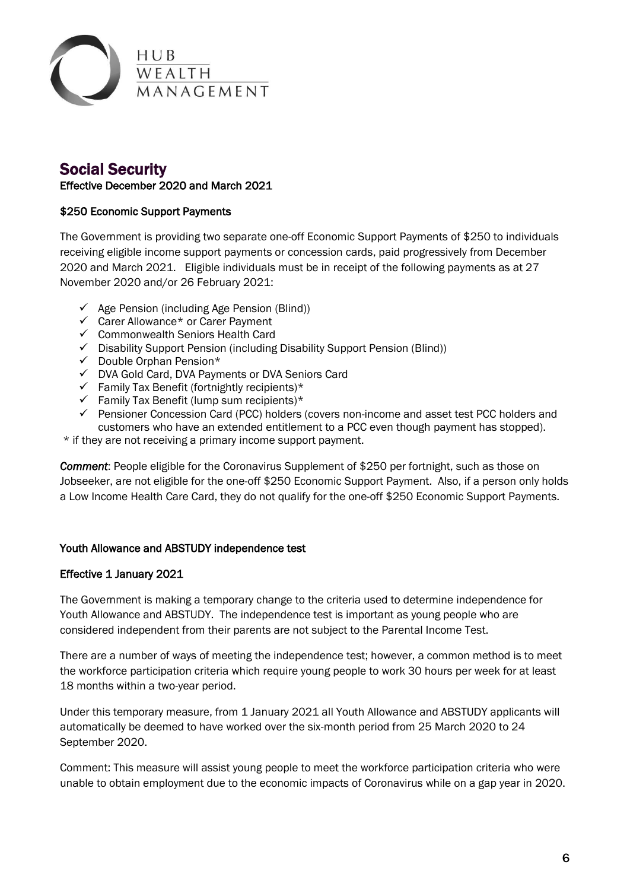

## Social Security Effective December 2020 and March 2021

## \$250 Economic Support Payments

The Government is providing two separate one-off Economic Support Payments of \$250 to individuals receiving eligible income support payments or concession cards, paid progressively from December 2020 and March 2021. Eligible individuals must be in receipt of the following payments as at 27 November 2020 and/or 26 February 2021:

- $\checkmark$  Age Pension (including Age Pension (Blind))
- Carer Allowance\* or Carer Payment
- $\checkmark$  Commonwealth Seniors Health Card
- $\checkmark$  Disability Support Pension (including Disability Support Pension (Blind))
- $\checkmark$  Double Orphan Pension\*
- DVA Gold Card, DVA Payments or DVA Seniors Card
- $\checkmark$  Family Tax Benefit (fortnightly recipients)\*
- $\checkmark$  Family Tax Benefit (lump sum recipients)\*
- $\checkmark$  Pensioner Concession Card (PCC) holders (covers non-income and asset test PCC holders and customers who have an extended entitlement to a PCC even though payment has stopped).
- \* if they are not receiving a primary income support payment.

*Comment*: People eligible for the Coronavirus Supplement of \$250 per fortnight, such as those on Jobseeker, are not eligible for the one-off \$250 Economic Support Payment. Also, if a person only holds a Low Income Health Care Card, they do not qualify for the one-off \$250 Economic Support Payments.

#### Youth Allowance and ABSTUDY independence test

## Effective 1 January 2021

The Government is making a temporary change to the criteria used to determine independence for Youth Allowance and ABSTUDY. The independence test is important as young people who are considered independent from their parents are not subject to the Parental Income Test.

There are a number of ways of meeting the independence test; however, a common method is to meet the workforce participation criteria which require young people to work 30 hours per week for at least 18 months within a two-year period.

Under this temporary measure, from 1 January 2021 all Youth Allowance and ABSTUDY applicants will automatically be deemed to have worked over the six-month period from 25 March 2020 to 24 September 2020.

Comment: This measure will assist young people to meet the workforce participation criteria who were unable to obtain employment due to the economic impacts of Coronavirus while on a gap year in 2020.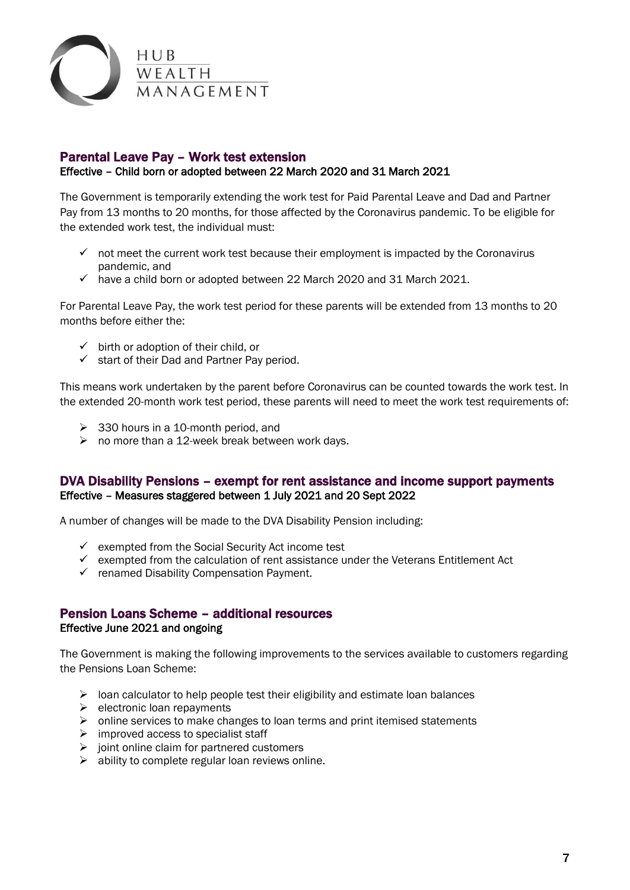

## Parental Leave Pay – Work test extension

#### Effective – Child born or adopted between 22 March 2020 and 31 March 2021

The Government is temporarily extending the work test for Paid Parental Leave and Dad and Partner Pay from 13 months to 20 months, for those affected by the Coronavirus pandemic. To be eligible for the extended work test, the individual must:

- $\checkmark$  not meet the current work test because their employment is impacted by the Coronavirus pandemic, and
- $\checkmark$  have a child born or adopted between 22 March 2020 and 31 March 2021.

For Parental Leave Pay, the work test period for these parents will be extended from 13 months to 20 months before either the:

- $\checkmark$  birth or adoption of their child, or
- $\checkmark$  start of their Dad and Partner Pay period.

This means work undertaken by the parent before Coronavirus can be counted towards the work test. In the extended 20-month work test period, these parents will need to meet the work test requirements of:

- $\geq$  330 hours in a 10-month period, and
- $\triangleright$  no more than a 12-week break between work days.

## DVA Disability Pensions – exempt for rent assistance and income support payments Effective – Measures staggered between 1 July 2021 and 20 Sept 2022

A number of changes will be made to the DVA Disability Pension including:

- $\checkmark$  exempted from the Social Security Act income test
- $\checkmark$  exempted from the calculation of rent assistance under the Veterans Entitlement Act
- $\checkmark$  renamed Disability Compensation Payment.

## Pension Loans Scheme – additional resources Effective June 2021 and ongoing

The Government is making the following improvements to the services available to customers regarding the Pensions Loan Scheme:

- $\triangleright$  loan calculator to help people test their eligibility and estimate loan balances
- $\triangleright$  electronic loan repayments
- $\triangleright$  online services to make changes to loan terms and print itemised statements
- $\triangleright$  improved access to specialist staff
- $\triangleright$  joint online claim for partnered customers
- $\triangleright$  ability to complete regular loan reviews online.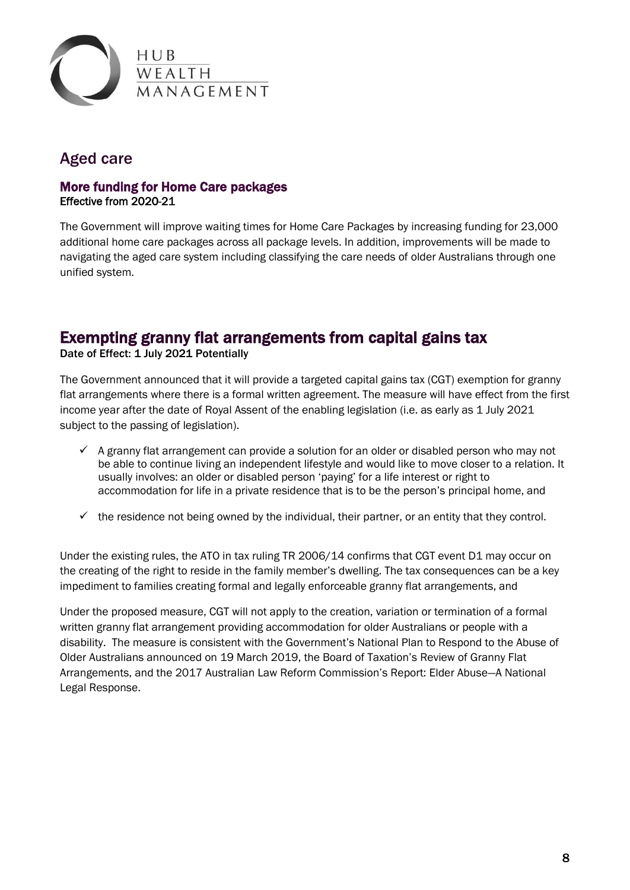

## Aged care

## More funding for Home Care packages Effective from 2020-21

The Government will improve waiting times for Home Care Packages by increasing funding for 23,000 additional home care packages across all package levels. In addition, improvements will be made to navigating the aged care system including classifying the care needs of older Australians through one unified system.

## Exempting granny flat arrangements from capital gains tax

Date of Effect: 1 July 2021 Potentially

The Government announced that it will provide a targeted capital gains tax (CGT) exemption for granny flat arrangements where there is a formal written agreement. The measure will have effect from the first income year after the date of Royal Assent of the enabling legislation (i.e. as early as 1 July 2021 subject to the passing of legislation).

- $\checkmark$  A granny flat arrangement can provide a solution for an older or disabled person who may not be able to continue living an independent lifestyle and would like to move closer to a relation. It usually involves: an older or disabled person 'paying' for a life interest or right to accommodation for life in a private residence that is to be the person's principal home, and
- $\checkmark$  the residence not being owned by the individual, their partner, or an entity that they control.

Under the existing rules, the ATO in tax ruling TR 2006/14 confirms that CGT event D1 may occur on the creating of the right to reside in the family member's dwelling. The tax consequences can be a key impediment to families creating formal and legally enforceable granny flat arrangements, and

Under the proposed measure, CGT will not apply to the creation, variation or termination of a formal written granny flat arrangement providing accommodation for older Australians or people with a disability. The measure is consistent with the Government's National Plan to Respond to the Abuse of Older Australians announced on 19 March 2019, the Board of Taxation's Review of Granny Flat Arrangements, and the 2017 Australian Law Reform Commission's Report: Elder Abuse—A National Legal Response.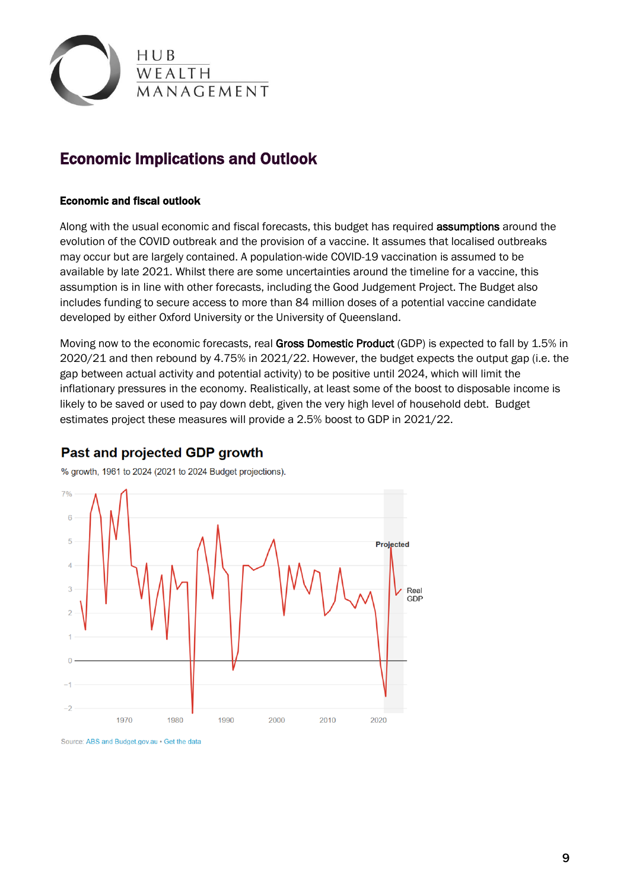

# Economic Implications and Outlook

#### Economic and fiscal outlook

Along with the usual economic and fiscal forecasts, this budget has required **assumptions** around the evolution of the COVID outbreak and the provision of a vaccine. It assumes that localised outbreaks may occur but are largely contained. A population-wide COVID-19 vaccination is assumed to be available by late 2021. Whilst there are some uncertainties around the timeline for a vaccine, this assumption is in line with other forecasts, including the Good Judgement Project. The Budget also includes funding to secure access to more than 84 million doses of a potential vaccine candidate developed by either Oxford University or the University of Queensland.

Moving now to the economic forecasts, real Gross Domestic Product (GDP) is expected to fall by 1.5% in 2020/21 and then rebound by 4.75% in 2021/22. However, the budget expects the output gap (i.e. the gap between actual activity and potential activity) to be positive until 2024, which will limit the inflationary pressures in the economy. Realistically, at least some of the boost to disposable income is likely to be saved or used to pay down debt, given the very high level of household debt. Budget estimates project these measures will provide a 2.5% boost to GDP in 2021/22.

## Past and projected GDP growth

% growth, 1961 to 2024 (2021 to 2024 Budget projections).



Source: ABS and Budget.gov.au . Get the data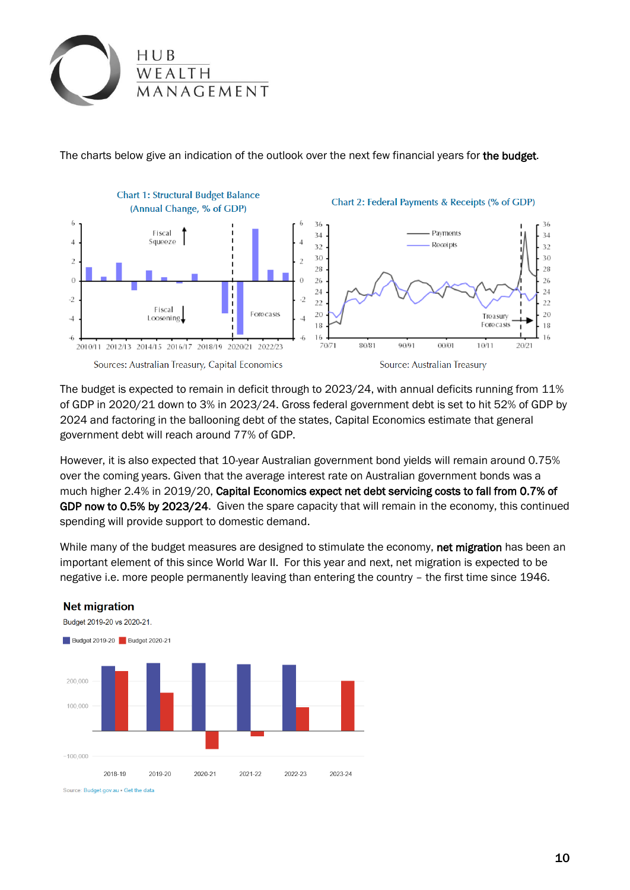

The charts below give an indication of the outlook over the next few financial years for the budget.



The budget is expected to remain in deficit through to 2023/24, with annual deficits running from 11% of GDP in 2020/21 down to 3% in 2023/24. Gross federal government debt is set to hit 52% of GDP by 2024 and factoring in the ballooning debt of the states, Capital Economics estimate that general government debt will reach around 77% of GDP.

However, it is also expected that 10-year Australian government bond yields will remain around 0.75% over the coming years. Given that the average interest rate on Australian government bonds was a much higher 2.4% in 2019/20, Capital Economics expect net debt servicing costs to fall from 0.7% of GDP now to 0.5% by 2023/24. Given the spare capacity that will remain in the economy, this continued spending will provide support to domestic demand.

While many of the budget measures are designed to stimulate the economy, net migration has been an important element of this since World War II. For this year and next, net migration is expected to be negative i.e. more people permanently leaving than entering the country – the first time since 1946.



## **Net migration**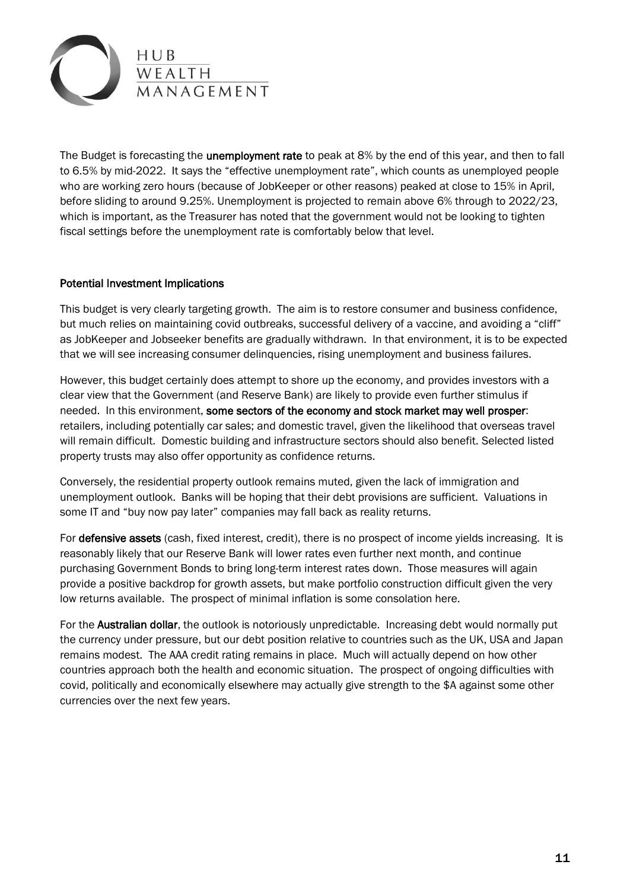

The Budget is forecasting the **unemployment rate** to peak at 8% by the end of this year, and then to fall to 6.5% by mid-2022. It says the "effective unemployment rate", which counts as unemployed people who are working zero hours (because of JobKeeper or other reasons) peaked at close to 15% in April, before sliding to around 9.25%. Unemployment is projected to remain above 6% through to 2022/23, which is important, as the Treasurer has noted that the government would not be looking to tighten fiscal settings before the unemployment rate is comfortably below that level.

## Potential Investment Implications

This budget is very clearly targeting growth. The aim is to restore consumer and business confidence, but much relies on maintaining covid outbreaks, successful delivery of a vaccine, and avoiding a "cliff" as JobKeeper and Jobseeker benefits are gradually withdrawn. In that environment, it is to be expected that we will see increasing consumer delinquencies, rising unemployment and business failures.

However, this budget certainly does attempt to shore up the economy, and provides investors with a clear view that the Government (and Reserve Bank) are likely to provide even further stimulus if needed. In this environment, some sectors of the economy and stock market may well prosper: retailers, including potentially car sales; and domestic travel, given the likelihood that overseas travel will remain difficult. Domestic building and infrastructure sectors should also benefit. Selected listed property trusts may also offer opportunity as confidence returns.

Conversely, the residential property outlook remains muted, given the lack of immigration and unemployment outlook. Banks will be hoping that their debt provisions are sufficient. Valuations in some IT and "buy now pay later" companies may fall back as reality returns.

For defensive assets (cash, fixed interest, credit), there is no prospect of income yields increasing. It is reasonably likely that our Reserve Bank will lower rates even further next month, and continue purchasing Government Bonds to bring long-term interest rates down. Those measures will again provide a positive backdrop for growth assets, but make portfolio construction difficult given the very low returns available. The prospect of minimal inflation is some consolation here.

For the Australian dollar, the outlook is notoriously unpredictable. Increasing debt would normally put the currency under pressure, but our debt position relative to countries such as the UK, USA and Japan remains modest. The AAA credit rating remains in place. Much will actually depend on how other countries approach both the health and economic situation. The prospect of ongoing difficulties with covid, politically and economically elsewhere may actually give strength to the \$A against some other currencies over the next few years.